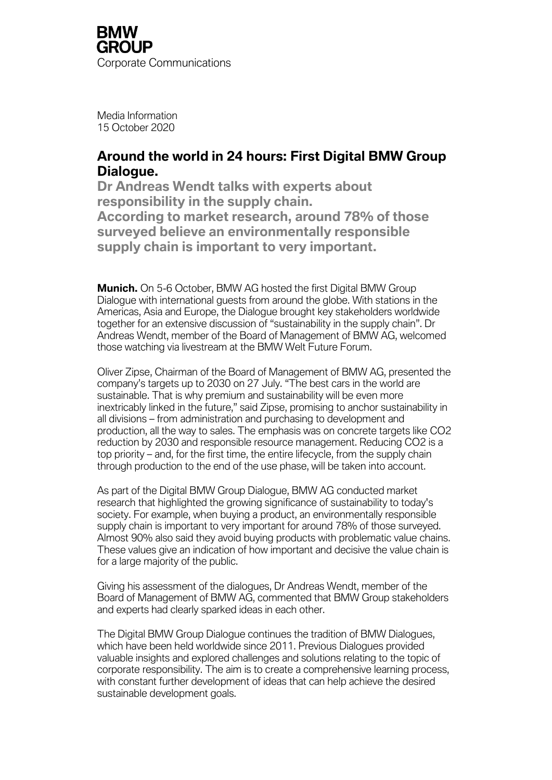Media Information 15 October 2020

# **Around the world in 24 hours: First Digital BMW Group Dialogue.**

**Dr Andreas Wendt talks with experts about responsibility in the supply chain. According to market research, around 78% of those surveyed believe an environmentally responsible supply chain is important to very important.**

**Munich.** On 5-6 October, BMW AG hosted the first Digital BMW Group Dialogue with international guests from around the globe. With stations in the Americas, Asia and Europe, the Dialogue brought key stakeholders worldwide together for an extensive discussion of "sustainability in the supply chain". Dr Andreas Wendt, member of the Board of Management of BMW AG, welcomed those watching via livestream at the BMW Welt Future Forum.

Oliver Zipse, Chairman of the Board of Management of BMW AG, presented the company's targets up to 2030 on 27 July. "The best cars in the world are sustainable. That is why premium and sustainability will be even more inextricably linked in the future," said Zipse, promising to anchor sustainability in all divisions – from administration and purchasing to development and production, all the way to sales. The emphasis was on concrete targets like CO2 reduction by 2030 and responsible resource management. Reducing CO2 is a top priority – and, for the first time, the entire lifecycle, from the supply chain through production to the end of the use phase, will be taken into account.

As part of the Digital BMW Group Dialogue, BMW AG conducted market research that highlighted the growing significance of sustainability to today's society. For example, when buying a product, an environmentally responsible supply chain is important to very important for around 78% of those surveyed. Almost 90% also said they avoid buying products with problematic value chains. These values give an indication of how important and decisive the value chain is for a large majority of the public.

Giving his assessment of the dialogues, Dr Andreas Wendt, member of the Board of Management of BMW AG, commented that BMW Group stakeholders and experts had clearly sparked ideas in each other.

The Digital BMW Group Dialogue continues the tradition of BMW Dialogues, which have been held worldwide since 2011. Previous Dialogues provided valuable insights and explored challenges and solutions relating to the topic of corporate responsibility. The aim is to create a comprehensive learning process, with constant further development of ideas that can help achieve the desired sustainable development goals.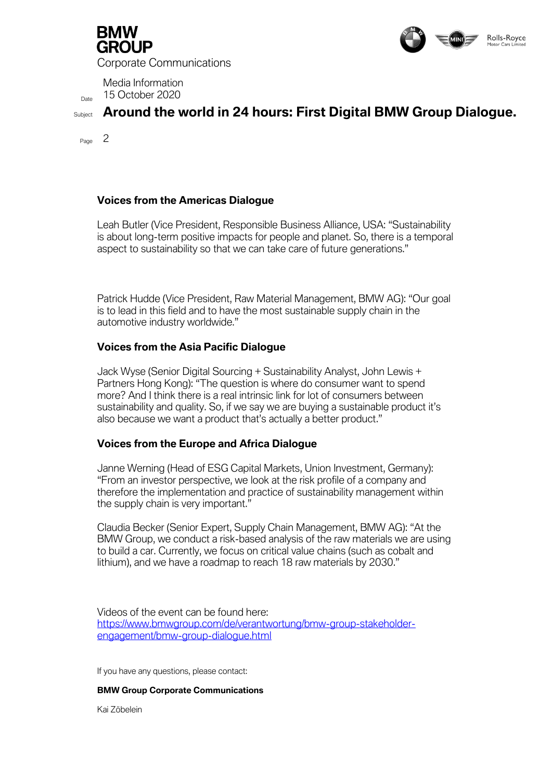

Corporate Communications



Media Information  $D<sub>Date</sub>$  15 October 2020

Subject **Around the world in 24 hours: First Digital BMW Group Dialogue.**

Page 2

## **Voices from the Americas Dialogue**

Leah Butler (Vice President, Responsible Business Alliance, USA: "Sustainability is about long-term positive impacts for people and planet. So, there is a temporal aspect to sustainability so that we can take care of future generations."

Patrick Hudde (Vice President, Raw Material Management, BMW AG): "Our goal is to lead in this field and to have the most sustainable supply chain in the automotive industry worldwide."

## **Voices from the Asia Pacific Dialogue**

*Jack Wyse (Senior Digital Sourcing + Sustainability Analyst, John Lewis + Partners Hong Kong): "The question is where do consumer want to spend more? And I think there is a real intrinsic link for lot of consumers between sustainability and quality. So, if we say we are buying a sustainable product it's also because we want a product that's actually a better product."*

## **Voices from the Europe and Africa Dialogue**

*Janne Werning (Head of ESG Capital Markets, Union Investment, Germany): "From an investor perspective, we look at the risk profile of a company and therefore the implementation and practice of sustainability management within the supply chain is very important."*

*Claudia Becker (Senior Expert, Supply Chain Management, BMW AG):* "At the BMW Group, we conduct a risk-based analysis of the raw materials we are using to build a car. Currently, we focus on critical value chains (such as cobalt and lithium), and we have a roadmap to reach 18 raw materials by 2030.*"*

Videos of the event can be found here: [https://www.bmwgroup.com/de/verantwortung/bmw-group-stakeholder](https://www.bmwgroup.com/de/verantwortung/bmw-group-stakeholder-engagement/bmw-group-dialogue.html)[engagement/bmw-group-dialogue.html](https://www.bmwgroup.com/de/verantwortung/bmw-group-stakeholder-engagement/bmw-group-dialogue.html)

If you have any questions, please contact:

**BMW Group Corporate Communications** 

Kai Zöbelein